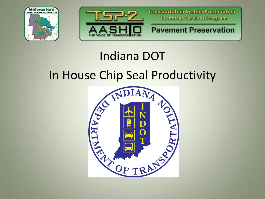



**Transportation System Preservation Technical Services Program** 

**Pavement Preservation** 

## Indiana DOT In House Chip Seal Productivity

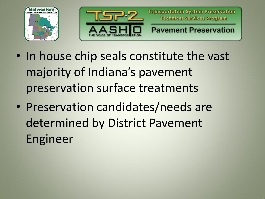



- In house chip seals constitute the vast majority of Indiana's pavement preservation surface treatments
- Preservation candidates/needs are determined by District Pavement Engineer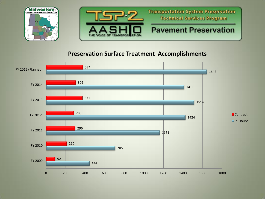

#### **Preservation Surface Treatment Accomplishments**

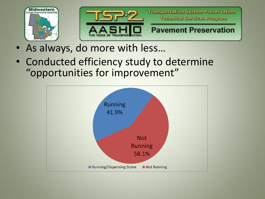



- As always, do more with less…
- Conducted efficiency study to determine "opportunities for improvement"

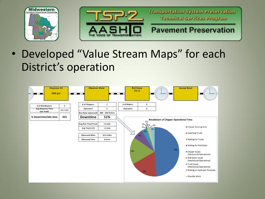



• Developed "Value Stream Maps" for each District's operation

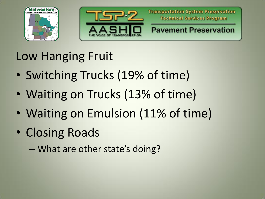



Low Hanging Fruit

- Switching Trucks (19% of time)
- Waiting on Trucks (13% of time)
- Waiting on Emulsion (11% of time)
- Closing Roads
	- What are other state's doing?

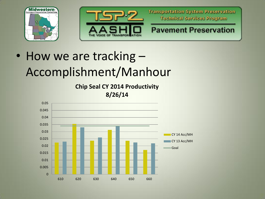



**Transportation System Preservation Technical Services Program** 

### **Pavement Preservation**

## • How we are tracking -Accomplishment/Manhour

**Chip Seal CY 2014 Productivity 8/26/14**

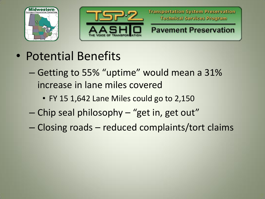



- Potential Benefits
	- Getting to 55% "uptime" would mean a 31% increase in lane miles covered
		- FY 15 1,642 Lane Miles could go to 2,150
	- Chip seal philosophy "get in, get out"
	- Closing roads reduced complaints/tort claims